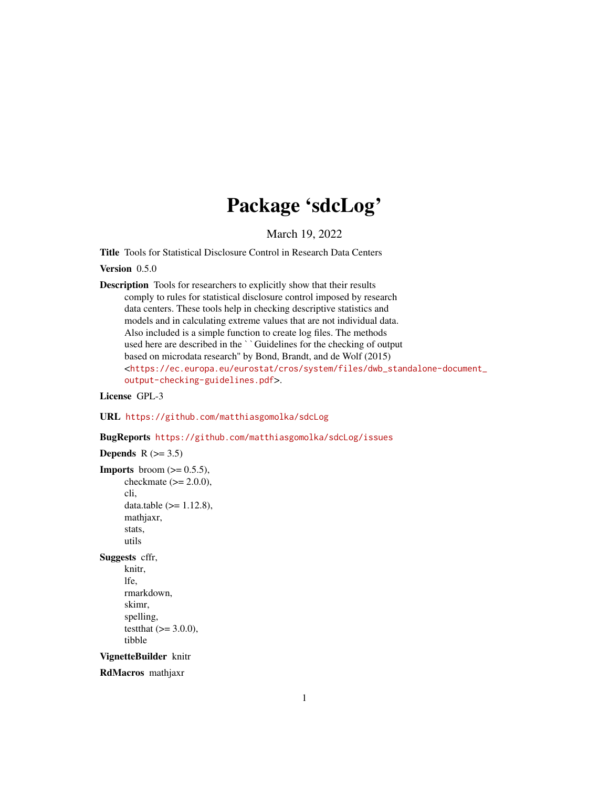# Package 'sdcLog'

March 19, 2022

<span id="page-0-0"></span>Title Tools for Statistical Disclosure Control in Research Data Centers

Version 0.5.0

Description Tools for researchers to explicitly show that their results comply to rules for statistical disclosure control imposed by research data centers. These tools help in checking descriptive statistics and models and in calculating extreme values that are not individual data. Also included is a simple function to create log files. The methods used here are described in the ``Guidelines for the checking of output based on microdata research'' by Bond, Brandt, and de Wolf (2015) <[https://ec.europa.eu/eurostat/cros/system/files/dwb\\_standalone-document\\_](https://ec.europa.eu/eurostat/cros/system/files/dwb_standalone-document_output-checking-guidelines.pdf) [output-checking-guidelines.pdf](https://ec.europa.eu/eurostat/cros/system/files/dwb_standalone-document_output-checking-guidelines.pdf)>.

License GPL-3

URL <https://github.com/matthiasgomolka/sdcLog>

BugReports <https://github.com/matthiasgomolka/sdcLog/issues>

Depends  $R$  ( $>= 3.5$ )

```
Imports broom (>= 0.5.5),
      checkmate (>= 2.0.0),
      cli,
      data.table (>= 1.12.8),
      mathjaxr,
      stats,
      utils
```
Suggests cffr,

```
knitr,
lfe,
rmarkdown,
skimr,
spelling,
testthat (>= 3.0.0),tibble
```
VignetteBuilder knitr

RdMacros mathjaxr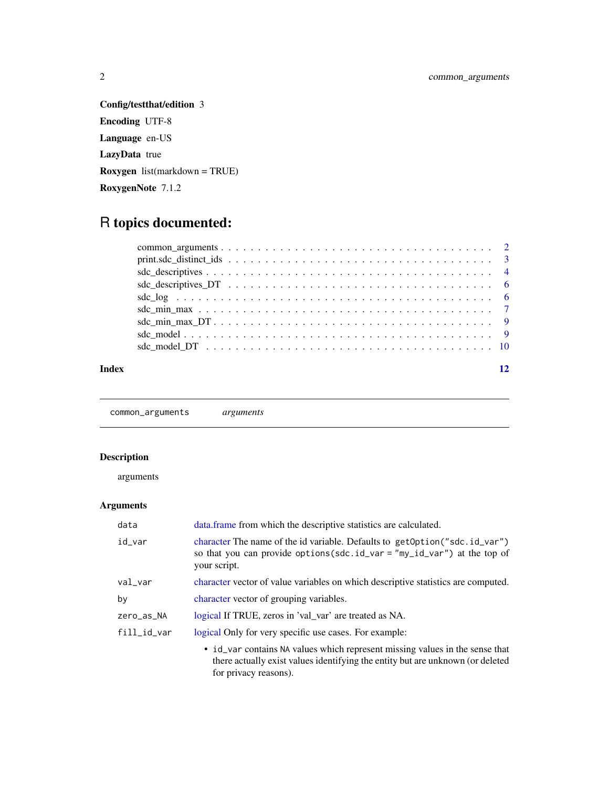# <span id="page-1-0"></span>Config/testthat/edition 3 Encoding UTF-8 Language en-US LazyData true Roxygen list(markdown = TRUE) RoxygenNote 7.1.2

# R topics documented:

| $print.\text{sdc\_distinct\_ids} \dots \dots \dots \dots \dots \dots \dots \dots \dots \dots \dots \dots \dots \dots \dots \dots \dots$ |  |
|-----------------------------------------------------------------------------------------------------------------------------------------|--|
|                                                                                                                                         |  |
|                                                                                                                                         |  |
|                                                                                                                                         |  |
|                                                                                                                                         |  |
|                                                                                                                                         |  |
|                                                                                                                                         |  |
|                                                                                                                                         |  |
|                                                                                                                                         |  |

#### **Index** [12](#page-11-0)

common\_arguments *arguments*

# Description

arguments

# Arguments

| data        | data. frame from which the descriptive statistics are calculated.                                                                                                                       |
|-------------|-----------------------------------------------------------------------------------------------------------------------------------------------------------------------------------------|
| id_var      | character The name of the id variable. Defaults to get Option ("sdc.id_var")<br>so that you can provide options (sdc.id_var = "my_id_var") at the top of<br>your script.                |
| val_var     | character vector of value variables on which descriptive statistics are computed.                                                                                                       |
| by          | character vector of grouping variables.                                                                                                                                                 |
| zero_as_NA  | logical If TRUE, zeros in 'val_var' are treated as NA.                                                                                                                                  |
| fill_id_var | logical Only for very specific use cases. For example:                                                                                                                                  |
|             | • id_var contains NA values which represent missing values in the sense that<br>there actually exist values identifying the entity but are unknown (or deleted<br>for privacy reasons). |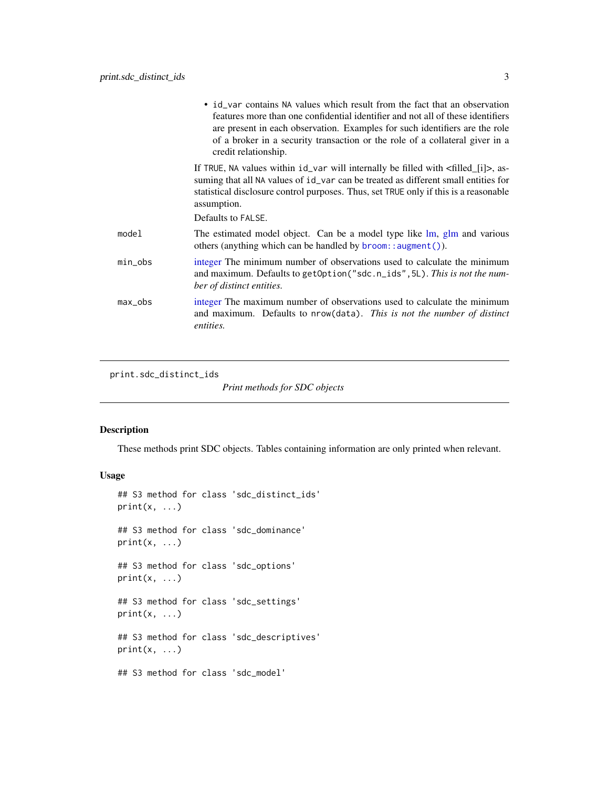<span id="page-2-0"></span>

|            | • id var contains NA values which result from the fact that an observation<br>features more than one confidential identifier and not all of these identifiers<br>are present in each observation. Examples for such identifiers are the role<br>of a broker in a security transaction or the role of a collateral giver in a<br>credit relationship. |
|------------|------------------------------------------------------------------------------------------------------------------------------------------------------------------------------------------------------------------------------------------------------------------------------------------------------------------------------------------------------|
|            | If TRUE, NA values within $id\_\text{var}$ will internally be filled with $\lt$ filled $[i]$ >, as-<br>suming that all NA values of id_var can be treated as different small entities for<br>statistical disclosure control purposes. Thus, set TRUE only if this is a reasonable<br>assumption.                                                     |
|            | Defaults to FALSE.                                                                                                                                                                                                                                                                                                                                   |
| model      | The estimated model object. Can be a model type like $\text{Im}$ , $\text{glm}$ and various<br>others (anything which can be handled by $\text{broom}: \text{augment}()$ ).                                                                                                                                                                          |
| $min\_obs$ | integer The minimum number of observations used to calculate the minimum<br>and maximum. Defaults to get Option ("sdc.n_ids", 5L). This is not the num-<br>ber of distinct entities.                                                                                                                                                                 |
| $max\_obs$ | integer The maximum number of observations used to calculate the minimum<br>and maximum. Defaults to nrow(data). This is not the number of distinct<br><i>entities.</i>                                                                                                                                                                              |
|            |                                                                                                                                                                                                                                                                                                                                                      |

print.sdc\_distinct\_ids

*Print methods for SDC objects*

#### Description

These methods print SDC objects. Tables containing information are only printed when relevant.

# Usage

```
## S3 method for class 'sdc_distinct_ids'
print(x, \ldots)## S3 method for class 'sdc_dominance'
print(x, \ldots)## S3 method for class 'sdc_options'
print(x, \ldots)## S3 method for class 'sdc_settings'
print(x, \ldots)## S3 method for class 'sdc_descriptives'
print(x, \ldots)## S3 method for class 'sdc_model'
```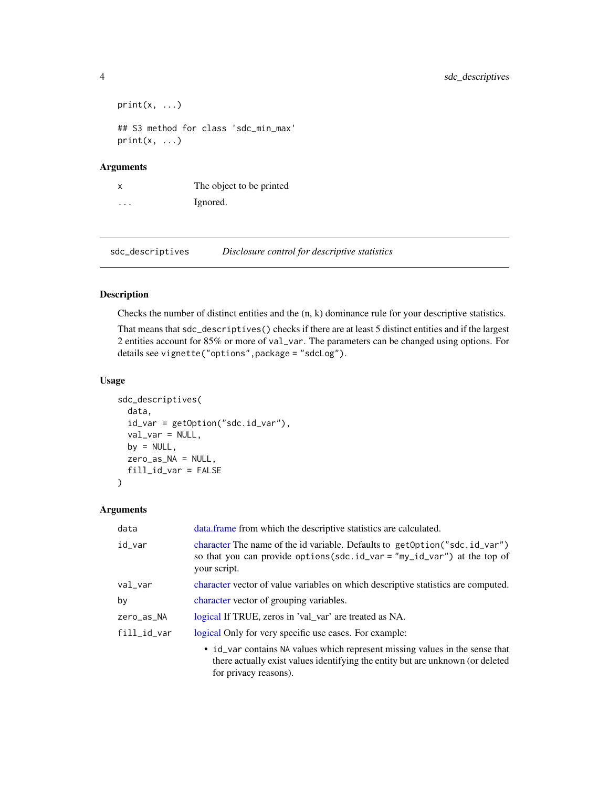```
print(x, \ldots)## S3 method for class 'sdc_min_max'
print(x, \ldots)
```
# Arguments

| X | The object to be printed |
|---|--------------------------|
| . | Ignored.                 |

sdc\_descriptives *Disclosure control for descriptive statistics*

# Description

Checks the number of distinct entities and the (n, k) dominance rule for your descriptive statistics.

That means that sdc\_descriptives() checks if there are at least 5 distinct entities and if the largest 2 entities account for 85% or more of val\_var. The parameters can be changed using options. For details see vignette("options",package = "sdcLog").

#### Usage

```
sdc_descriptives(
  data,
  id_var = getOption("sdc.id_var"),
  val_var = NULL,
 by = NULL,
  zero_as_NA = NULL,
  fill_id_var = FALSE
)
```
#### Arguments

| data        | data. frame from which the descriptive statistics are calculated.                                                                                                                       |
|-------------|-----------------------------------------------------------------------------------------------------------------------------------------------------------------------------------------|
| id_var      | character The name of the id variable. Defaults to get Option ("sdc.id_var")<br>so that you can provide options (sdc.id_var = "my_id_var") at the top of<br>your script.                |
| val_var     | character vector of value variables on which descriptive statistics are computed.                                                                                                       |
| by          | character vector of grouping variables.                                                                                                                                                 |
| zero_as_NA  | logical If TRUE, zeros in 'val_var' are treated as NA.                                                                                                                                  |
| fill_id_var | logical Only for very specific use cases. For example:                                                                                                                                  |
|             | • id_var contains NA values which represent missing values in the sense that<br>there actually exist values identifying the entity but are unknown (or deleted<br>for privacy reasons). |

<span id="page-3-0"></span>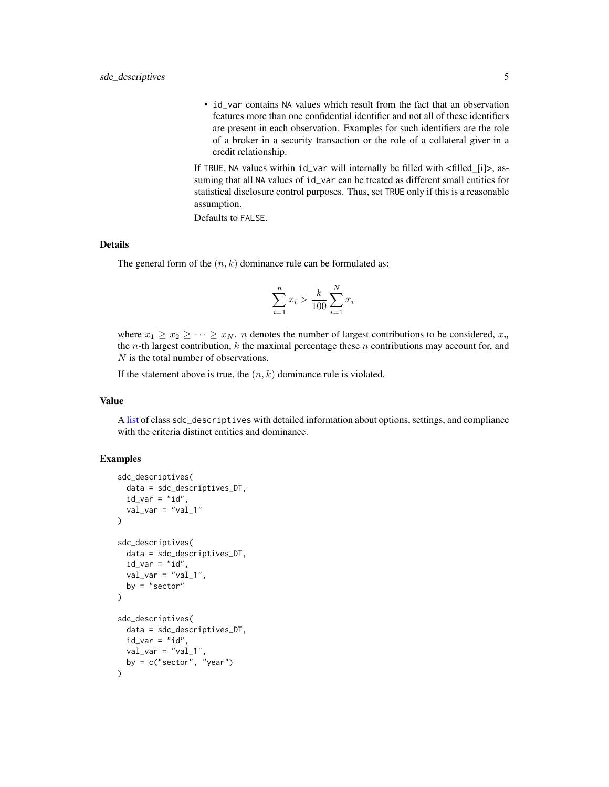<span id="page-4-0"></span>• id\_var contains NA values which result from the fact that an observation features more than one confidential identifier and not all of these identifiers are present in each observation. Examples for such identifiers are the role of a broker in a security transaction or the role of a collateral giver in a credit relationship.

If TRUE, NA values within id\_var will internally be filled with <filled\_[i]>, assuming that all NA values of id\_var can be treated as different small entities for statistical disclosure control purposes. Thus, set TRUE only if this is a reasonable assumption.

Defaults to FALSE.

#### Details

The general form of the  $(n, k)$  dominance rule can be formulated as:

$$
\sum_{i=1}^{n} x_i > \frac{k}{100} \sum_{i=1}^{N} x_i
$$

where  $x_1 \ge x_2 \ge \cdots \ge x_N$ . *n* denotes the number of largest contributions to be considered,  $x_n$ the *n*-th largest contribution,  $k$  the maximal percentage these  $n$  contributions may account for, and N is the total number of observations.

If the statement above is true, the  $(n, k)$  dominance rule is violated.

#### Value

A [list](#page-0-0) of class sdc\_descriptives with detailed information about options, settings, and compliance with the criteria distinct entities and dominance.

#### Examples

```
sdc_descriptives(
 data = sdc_descriptives_DT,
 id\_var = "id",val\_var = "val_1")
sdc_descriptives(
 data = sdc_descriptives_DT,
 id\_var = "id",val\_var = "val_1",by = "sector"\mathcal{L}sdc_descriptives(
 data = sdc_descriptives_DT,
 id\_var = "id",val\_var = "val_1"by = c("sector", "year"))
```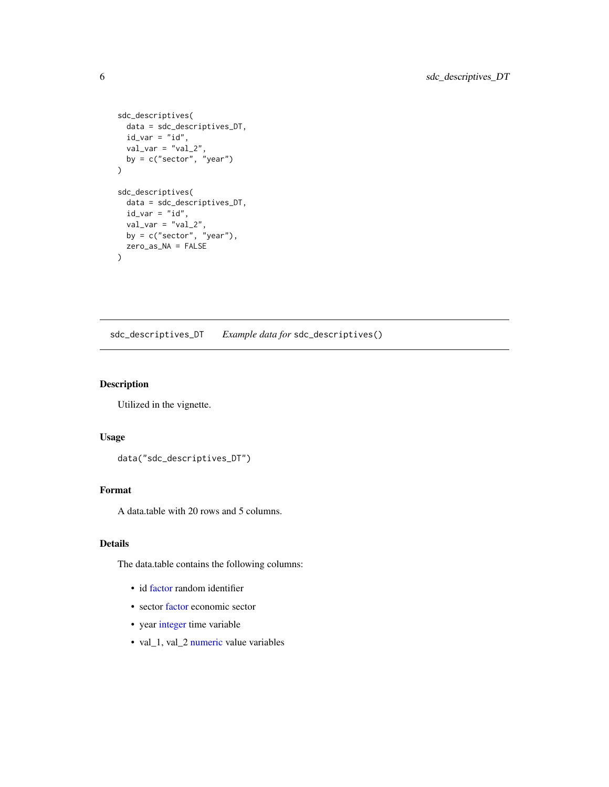```
sdc_descriptives(
  data = sdc_descriptives_DT,
  id\_var = "id",val\_var = "val_2",by = c("sector", "year")\mathcal{L}sdc_descriptives(
  data = sdc_descriptives_DT,
  id\_var = "id",val\_var = "val_2",by = c("sector", "year"),zero_as_NA = FALSE
\mathcal{L}
```
sdc\_descriptives\_DT *Example data for* sdc\_descriptives()

# Description

Utilized in the vignette.

#### Usage

```
data("sdc_descriptives_DT")
```
# Format

A data.table with 20 rows and 5 columns.

## Details

The data.table contains the following columns:

- id [factor](#page-0-0) random identifier
- sector [factor](#page-0-0) economic sector
- year [integer](#page-0-0) time variable
- val\_1, val\_2 [numeric](#page-0-0) value variables

<span id="page-5-0"></span>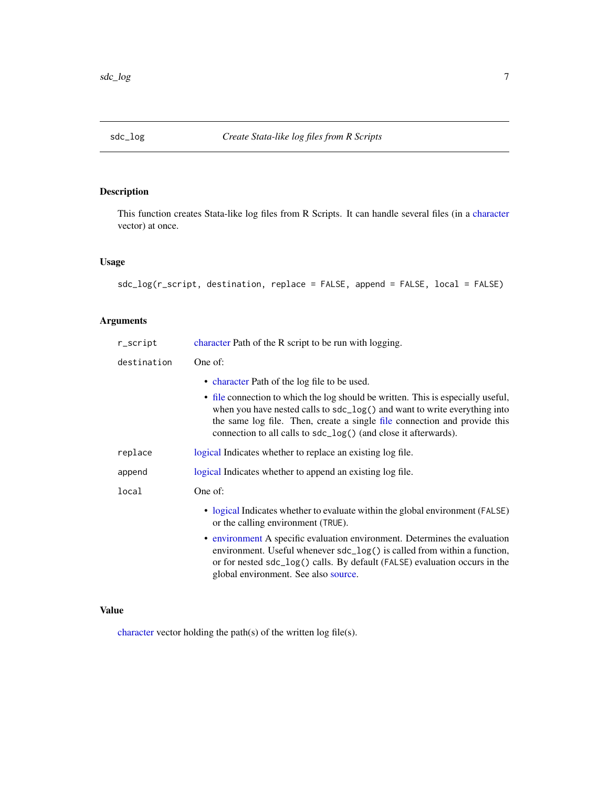<span id="page-6-0"></span>

# Description

This function creates Stata-like log files from R Scripts. It can handle several files (in a [character](#page-0-0) vector) at once.

# Usage

```
sdc_log(r_script, destination, replace = FALSE, append = FALSE, local = FALSE)
```
# Arguments

| r_script    | character Path of the R script to be run with logging.                                                                                                                                                                                                                                                                                                        |
|-------------|---------------------------------------------------------------------------------------------------------------------------------------------------------------------------------------------------------------------------------------------------------------------------------------------------------------------------------------------------------------|
| destination | One of:                                                                                                                                                                                                                                                                                                                                                       |
|             | • character Path of the log file to be used.<br>• file connection to which the log should be written. This is especially useful,<br>when you have nested calls to sdc_log() and want to write everything into<br>the same log file. Then, create a single file connection and provide this<br>connection to all calls to sdc_log() (and close it afterwards). |
| replace     | logical Indicates whether to replace an existing log file.                                                                                                                                                                                                                                                                                                    |
| append      | logical Indicates whether to append an existing log file.                                                                                                                                                                                                                                                                                                     |
| local       | One of:                                                                                                                                                                                                                                                                                                                                                       |
|             | • logical Indicates whether to evaluate within the global environment (FALSE)<br>or the calling environment (TRUE).                                                                                                                                                                                                                                           |
|             | • environment A specific evaluation environment. Determines the evaluation<br>environment. Useful whenever sdc_log() is called from within a function,<br>or for nested sdc_log() calls. By default (FALSE) evaluation occurs in the<br>global environment. See also source.                                                                                  |

#### Value

[character](#page-0-0) vector holding the path(s) of the written log file(s).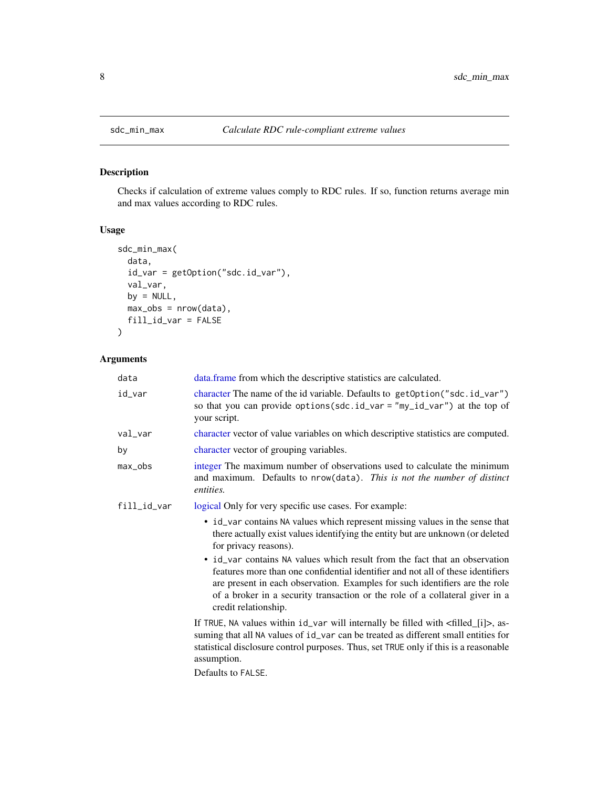<span id="page-7-0"></span>

# Description

Checks if calculation of extreme values comply to RDC rules. If so, function returns average min and max values according to RDC rules.

# Usage

```
sdc_min_max(
 data,
 id_var = getOption("sdc.id_var"),
 val_var,
 by = NULL,
 max_obs = nrow(data),
 fill_id_var = FALSE
)
```
# Arguments

| data        | data.frame from which the descriptive statistics are calculated.                                                                                                                                                                                                                                                                                     |
|-------------|------------------------------------------------------------------------------------------------------------------------------------------------------------------------------------------------------------------------------------------------------------------------------------------------------------------------------------------------------|
| id_var      | character The name of the id variable. Defaults to getOption("sdc.id_var")<br>so that you can provide options(sdc.id_var = "my_id_var") at the top of<br>your script.                                                                                                                                                                                |
| val_var     | character vector of value variables on which descriptive statistics are computed.                                                                                                                                                                                                                                                                    |
| by          | character vector of grouping variables.                                                                                                                                                                                                                                                                                                              |
| $max_obs$   | integer The maximum number of observations used to calculate the minimum<br>and maximum. Defaults to nrow(data). This is not the number of distinct<br>entities.                                                                                                                                                                                     |
| fill_id_var | logical Only for very specific use cases. For example:                                                                                                                                                                                                                                                                                               |
|             | • id_var contains NA values which represent missing values in the sense that<br>there actually exist values identifying the entity but are unknown (or deleted<br>for privacy reasons).                                                                                                                                                              |
|             | • id_var contains NA values which result from the fact that an observation<br>features more than one confidential identifier and not all of these identifiers<br>are present in each observation. Examples for such identifiers are the role<br>of a broker in a security transaction or the role of a collateral giver in a<br>credit relationship. |
|             | If TRUE, NA values within $id\_\text{var}$ will internally be filled with $\lt$ filled $[i]$ >, as-<br>suming that all NA values of id_var can be treated as different small entities for<br>statistical disclosure control purposes. Thus, set TRUE only if this is a reasonable<br>assumption.                                                     |
|             |                                                                                                                                                                                                                                                                                                                                                      |

Defaults to FALSE.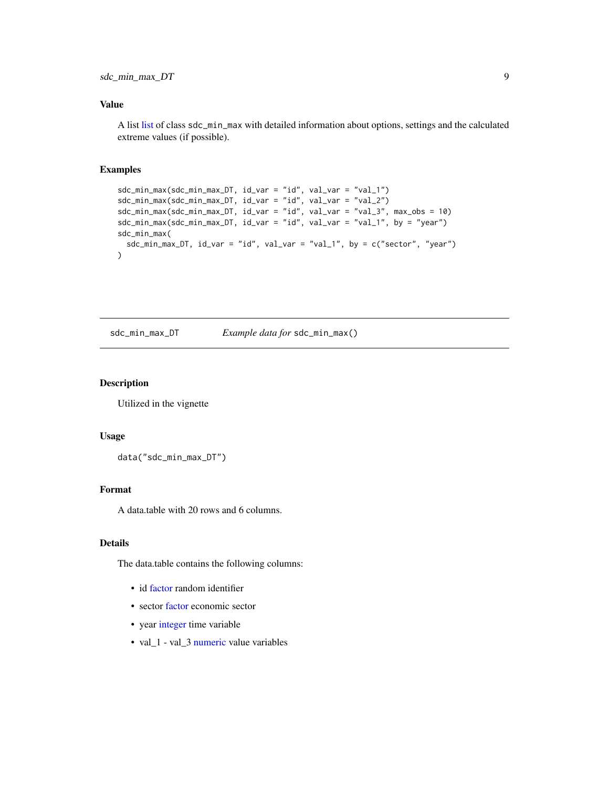#### <span id="page-8-0"></span>Value

A list [list](#page-0-0) of class sdc\_min\_max with detailed information about options, settings and the calculated extreme values (if possible).

#### Examples

```
sdc_min_max(sdc_min_max_DT, id_var = "id", val_var = "val_1")
sdc_min_max(sdc_min_max_DT, id_var = "id", val_var = "val_2")
sdc_min_max(sdc_min_max_DT, id_var = "id", val_var = "val_3", max_obs = 10)
sdc_min_max(sdc_min_max_DT, id_var = "id", val_var = "val_1", by = "year")
sdc_min_max(
 sdc_min_max_DT, id_var = "id", val_var = "val_1", by = c("sector", "year")
\lambda
```
sdc\_min\_max\_DT *Example data for* sdc\_min\_max()

## Description

Utilized in the vignette

#### Usage

```
data("sdc_min_max_DT")
```
#### Format

A data.table with 20 rows and 6 columns.

#### Details

The data.table contains the following columns:

- id [factor](#page-0-0) random identifier
- sector [factor](#page-0-0) economic sector
- year [integer](#page-0-0) time variable
- val\_1 val\_3 [numeric](#page-0-0) value variables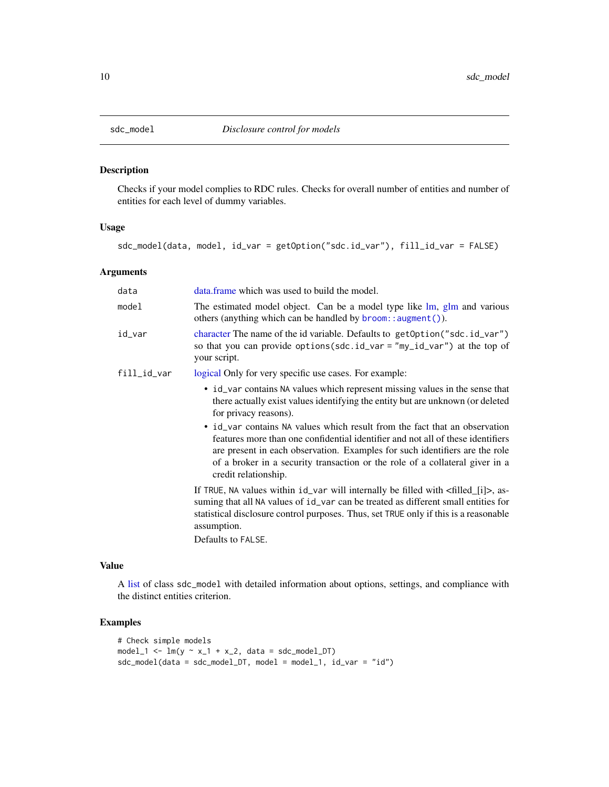<span id="page-9-0"></span>

#### Description

Checks if your model complies to RDC rules. Checks for overall number of entities and number of entities for each level of dummy variables.

#### Usage

sdc\_model(data, model, id\_var = getOption("sdc.id\_var"), fill\_id\_var = FALSE)

#### Arguments

| data        | data. frame which was used to build the model.                                                                                                                                                                                                                                                                                                       |
|-------------|------------------------------------------------------------------------------------------------------------------------------------------------------------------------------------------------------------------------------------------------------------------------------------------------------------------------------------------------------|
| model       | The estimated model object. Can be a model type like lm, glm and various<br>others (anything which can be handled by $\text{broom}: \text{augment}()$ ).                                                                                                                                                                                             |
| id_var      | character The name of the id variable. Defaults to getOption("sdc.id_var")<br>so that you can provide options (sdc.id_var = "my_id_var") at the top of<br>your script.                                                                                                                                                                               |
| fill_id_var | logical Only for very specific use cases. For example:                                                                                                                                                                                                                                                                                               |
|             | • id_var contains NA values which represent missing values in the sense that<br>there actually exist values identifying the entity but are unknown (or deleted<br>for privacy reasons).                                                                                                                                                              |
|             | • id_var contains NA values which result from the fact that an observation<br>features more than one confidential identifier and not all of these identifiers<br>are present in each observation. Examples for such identifiers are the role<br>of a broker in a security transaction or the role of a collateral giver in a<br>credit relationship. |
|             | If TRUE, NA values within $id\_\text{var}$ will internally be filled with $\lt$ filled $[i]$ , as-<br>suming that all NA values of id_var can be treated as different small entities for<br>statistical disclosure control purposes. Thus, set TRUE only if this is a reasonable<br>assumption.                                                      |
|             | Defaults to FALSE.                                                                                                                                                                                                                                                                                                                                   |

#### Value

A [list](#page-0-0) of class sdc\_model with detailed information about options, settings, and compliance with the distinct entities criterion.

# Examples

```
# Check simple models
model_1 \leftarrow lm(y \sim x_1 + x_2, data = sdc_model_D T)sdc_model(data = sdc_model_DT, model = model_1, id_var = "id")
```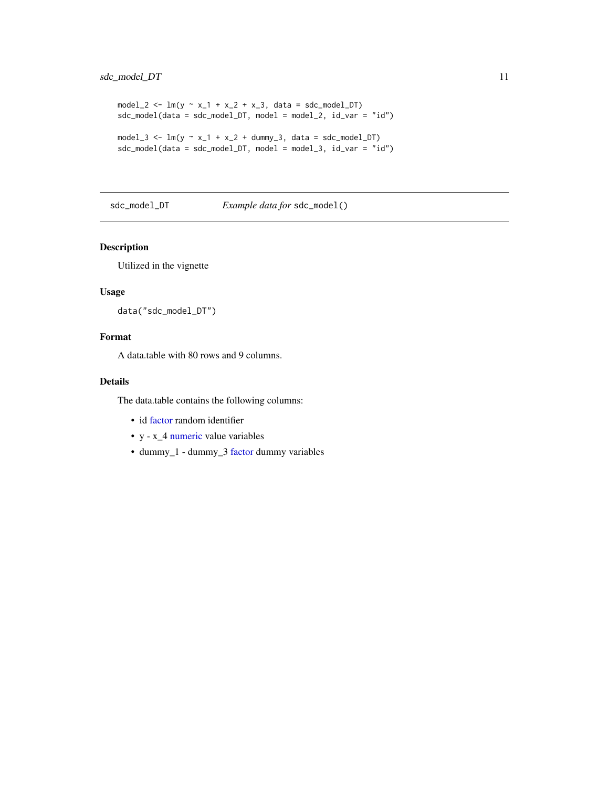```
model_2 <- lm(y \sim x_1 + x_2 + x_3), data = sdc_model_DT)
sdc_model(data = sdc_model_DT, model = model_2, id_var = "id")
model_3 <- lm(y \sim x_1 + x_2 + dummy_3, data = sdc_model_DT)sdc_model(data = sdc_model_DT, model = model_3, id_var = "id")
```
# sdc\_model\_DT *Example data for* sdc\_model()

# Description

Utilized in the vignette

## Usage

data("sdc\_model\_DT")

# Format

A data.table with 80 rows and 9 columns.

#### Details

The data.table contains the following columns:

- id [factor](#page-0-0) random identifier
- y x\_4 [numeric](#page-0-0) value variables
- dummy\_1 dummy\_3 [factor](#page-0-0) dummy variables